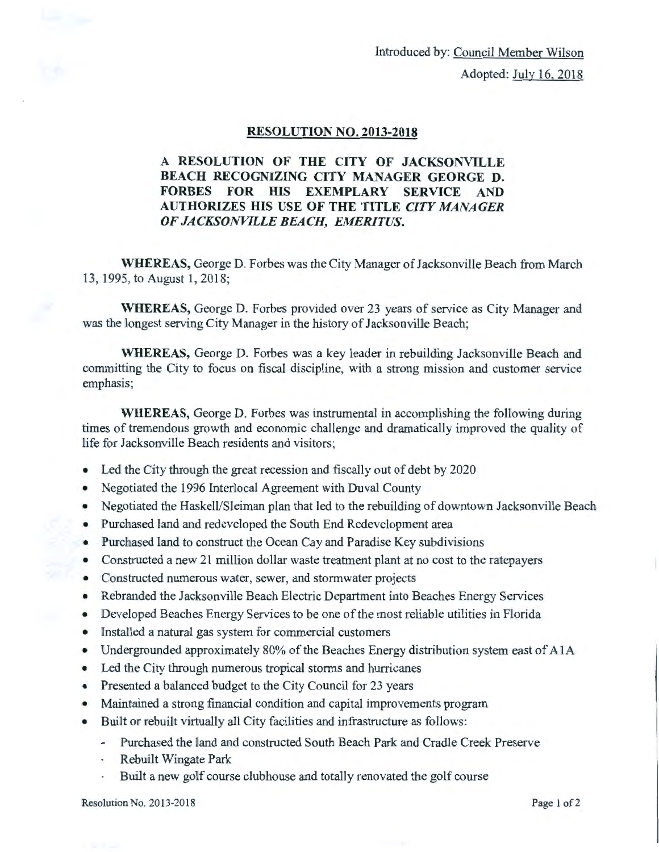Introduced by: Council Member Wilson Adopted: July 16, 2018

## RESOLUTION NO. 2013-2018

## A RESOLUTION OF THE CITY OF JACKSONVILLE BEACH RECOGNIZING CITY MANAGER GEORGE D. FORBES FOR HIS EXEMPLARY SERVICE AND AUTHORIZES HIS USE OF THE TITLE *CITY MANAGER OF JACKSONVILLE BEACH, EMERITUS.*

WHEREAS, George D. Forbes was the City Manager of Jacksonville Beach from March 13, 1995, to August 1, 2018;

WHEREAS, George D. Forbes provided over 23 years of service as City Manager and was the longest serving City Manager in the history of Jacksonville Beach;

WHEREAS, George D. Forbes was a key leader in rebuilding Jacksonville Beach and committing the City to focus on fiscal discipline, with a strong mission and customer service emphasis;

WHEREAS, George D. Forbes was instrumental in accomplishing the following during times of tremendous growth and economic challenge and dramatically improved the quality of life for Jacksonville Beach residents and visitors;

- Led the City through the great recession and fiscally out of debt by 2020
- Negotiated the 1996 Interlocal Agreement with Duval County
- Negotiated the Haskell/Sleiman plan that led to the rebuilding of downtown Jacksonville Beach
- Purchased land and redeveloped the South End Redevelopment area
- Purchased land to construct the Ocean Cay and Paradise Key subdivisions
- Constructed a new 21 million dollar waste treatment plant at no cost to the ratepayers
- Constructed numerous water, sewer, and stormwater projects
- Rebranded the Jacksonville Beach Electric Department into Beaches Energy Services
- Developed Beaches Energy Services to be one of the most reliable utilities in Florida
- Installed a natural gas system for commercial customers
- Undergrounded approximately 80% of the Beaches Energy distribution system east of A1A
- Led the City through numerous tropical storms and hurricanes
- Presented a balanced budget to the City Council for 23 years
- Maintained a strong financial condition and capital improvements program
- Built or rebuilt virtually all City facilities and infrastructure as follows:
	- Purchased the land and constructed South Beach Park and Cradle Creek Preserve
	- Rebuilt Wingate Park
	- Built a new golf course clubhouse and totally renovated the golf course